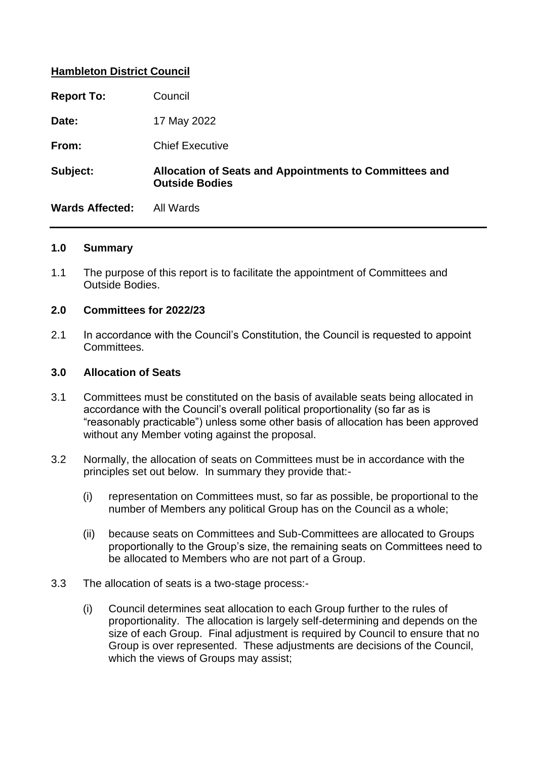#### **Hambleton District Council**

| <b>Report To:</b>      | Council                                                                         |
|------------------------|---------------------------------------------------------------------------------|
| Date:                  | 17 May 2022                                                                     |
| From:                  | <b>Chief Executive</b>                                                          |
| Subject:               | Allocation of Seats and Appointments to Committees and<br><b>Outside Bodies</b> |
| <b>Wards Affected:</b> | All Wards                                                                       |

#### **1.0 Summary**

1.1 The purpose of this report is to facilitate the appointment of Committees and Outside Bodies.

#### **2.0 Committees for 2022/23**

2.1 In accordance with the Council's Constitution, the Council is requested to appoint Committees.

#### **3.0 Allocation of Seats**

- 3.1 Committees must be constituted on the basis of available seats being allocated in accordance with the Council's overall political proportionality (so far as is "reasonably practicable") unless some other basis of allocation has been approved without any Member voting against the proposal.
- 3.2 Normally, the allocation of seats on Committees must be in accordance with the principles set out below. In summary they provide that:-
	- (i) representation on Committees must, so far as possible, be proportional to the number of Members any political Group has on the Council as a whole;
	- (ii) because seats on Committees and Sub-Committees are allocated to Groups proportionally to the Group's size, the remaining seats on Committees need to be allocated to Members who are not part of a Group.
- 3.3 The allocation of seats is a two-stage process:-
	- (i) Council determines seat allocation to each Group further to the rules of proportionality. The allocation is largely self-determining and depends on the size of each Group. Final adjustment is required by Council to ensure that no Group is over represented. These adjustments are decisions of the Council, which the views of Groups may assist;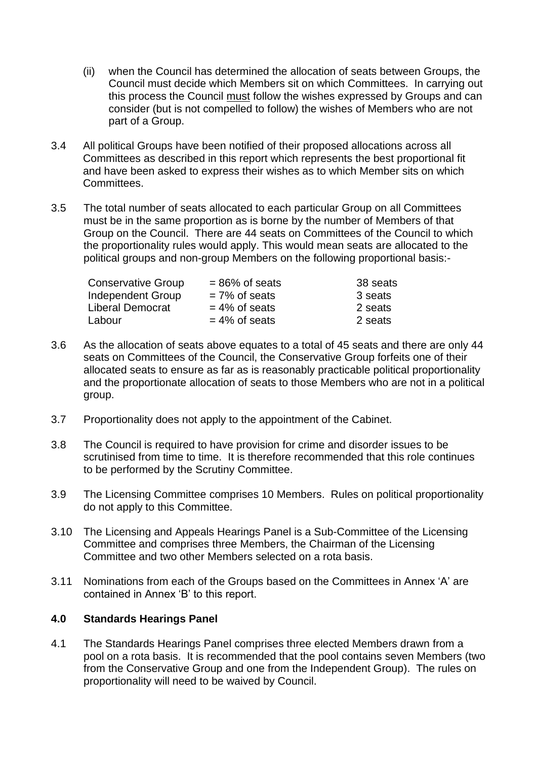- (ii) when the Council has determined the allocation of seats between Groups, the Council must decide which Members sit on which Committees. In carrying out this process the Council must follow the wishes expressed by Groups and can consider (but is not compelled to follow) the wishes of Members who are not part of a Group.
- 3.4 All political Groups have been notified of their proposed allocations across all Committees as described in this report which represents the best proportional fit and have been asked to express their wishes as to which Member sits on which Committees.
- 3.5 The total number of seats allocated to each particular Group on all Committees must be in the same proportion as is borne by the number of Members of that Group on the Council. There are 44 seats on Committees of the Council to which the proportionality rules would apply. This would mean seats are allocated to the political groups and non-group Members on the following proportional basis:-

| <b>Conservative Group</b> | $= 86\%$ of seats | 38 seats |
|---------------------------|-------------------|----------|
| Independent Group         | $= 7\%$ of seats  | 3 seats  |
| Liberal Democrat          | $= 4\%$ of seats  | 2 seats  |
| Labour                    | $= 4\%$ of seats  | 2 seats  |

- 3.6 As the allocation of seats above equates to a total of 45 seats and there are only 44 seats on Committees of the Council, the Conservative Group forfeits one of their allocated seats to ensure as far as is reasonably practicable political proportionality and the proportionate allocation of seats to those Members who are not in a political group.
- 3.7 Proportionality does not apply to the appointment of the Cabinet.
- 3.8 The Council is required to have provision for crime and disorder issues to be scrutinised from time to time. It is therefore recommended that this role continues to be performed by the Scrutiny Committee.
- 3.9 The Licensing Committee comprises 10 Members. Rules on political proportionality do not apply to this Committee.
- 3.10 The Licensing and Appeals Hearings Panel is a Sub-Committee of the Licensing Committee and comprises three Members, the Chairman of the Licensing Committee and two other Members selected on a rota basis.
- 3.11 Nominations from each of the Groups based on the Committees in Annex 'A' are contained in Annex 'B' to this report.

#### **4.0 Standards Hearings Panel**

4.1 The Standards Hearings Panel comprises three elected Members drawn from a pool on a rota basis. It is recommended that the pool contains seven Members (two from the Conservative Group and one from the Independent Group). The rules on proportionality will need to be waived by Council.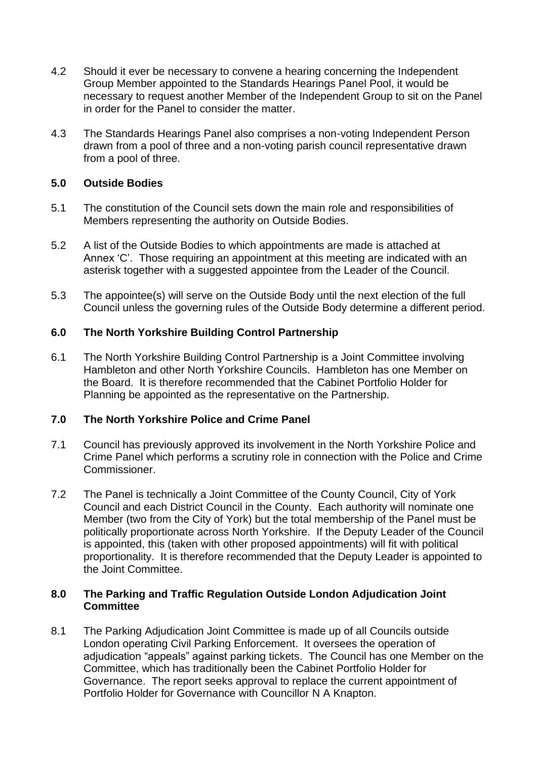- 4.2 Should it ever be necessary to convene a hearing concerning the Independent Group Member appointed to the Standards Hearings Panel Pool, it would be necessary to request another Member of the Independent Group to sit on the Panel in order for the Panel to consider the matter.
- 4.3 The Standards Hearings Panel also comprises a non-voting Independent Person drawn from a pool of three and a non-voting parish council representative drawn from a pool of three.

#### **5.0 Outside Bodies**

- 5.1 The constitution of the Council sets down the main role and responsibilities of Members representing the authority on Outside Bodies.
- 5.2 A list of the Outside Bodies to which appointments are made is attached at Annex 'C'. Those requiring an appointment at this meeting are indicated with an asterisk together with a suggested appointee from the Leader of the Council.
- 5.3 The appointee(s) will serve on the Outside Body until the next election of the full Council unless the governing rules of the Outside Body determine a different period.

#### **6.0 The North Yorkshire Building Control Partnership**

6.1 The North Yorkshire Building Control Partnership is a Joint Committee involving Hambleton and other North Yorkshire Councils. Hambleton has one Member on the Board. It is therefore recommended that the Cabinet Portfolio Holder for Planning be appointed as the representative on the Partnership.

#### **7.0 The North Yorkshire Police and Crime Panel**

- 7.1 Council has previously approved its involvement in the North Yorkshire Police and Crime Panel which performs a scrutiny role in connection with the Police and Crime Commissioner.
- 7.2 The Panel is technically a Joint Committee of the County Council, City of York Council and each District Council in the County. Each authority will nominate one Member (two from the City of York) but the total membership of the Panel must be politically proportionate across North Yorkshire. If the Deputy Leader of the Council is appointed, this (taken with other proposed appointments) will fit with political proportionality. It is therefore recommended that the Deputy Leader is appointed to the Joint Committee.

#### **8.0 The Parking and Traffic Regulation Outside London Adjudication Joint Committee**

8.1 The Parking Adjudication Joint Committee is made up of all Councils outside London operating Civil Parking Enforcement. It oversees the operation of adjudication "appeals" against parking tickets. The Council has one Member on the Committee, which has traditionally been the Cabinet Portfolio Holder for Governance. The report seeks approval to replace the current appointment of Portfolio Holder for Governance with Councillor N A Knapton.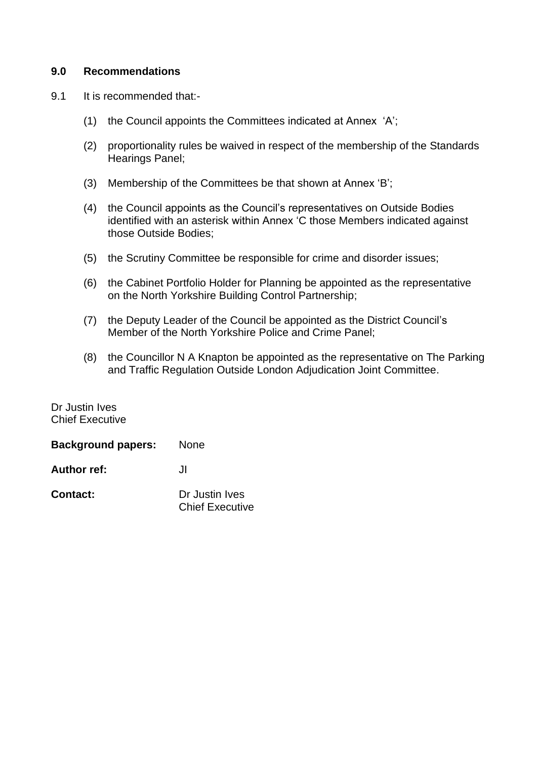#### **9.0 Recommendations**

- 9.1 It is recommended that:-
	- (1) the Council appoints the Committees indicated at Annex 'A';
	- (2) proportionality rules be waived in respect of the membership of the Standards Hearings Panel;
	- (3) Membership of the Committees be that shown at Annex 'B';
	- (4) the Council appoints as the Council's representatives on Outside Bodies identified with an asterisk within Annex 'C those Members indicated against those Outside Bodies;
	- (5) the Scrutiny Committee be responsible for crime and disorder issues;
	- (6) the Cabinet Portfolio Holder for Planning be appointed as the representative on the North Yorkshire Building Control Partnership;
	- (7) the Deputy Leader of the Council be appointed as the District Council's Member of the North Yorkshire Police and Crime Panel;
	- (8) the Councillor N A Knapton be appointed as the representative on The Parking and Traffic Regulation Outside London Adjudication Joint Committee.

Dr Justin Ives Chief Executive

| <b>Background papers:</b> | <b>None</b>                              |
|---------------------------|------------------------------------------|
| <b>Author ref:</b>        | JI.                                      |
| <b>Contact:</b>           | Dr Justin Ives<br><b>Chief Executive</b> |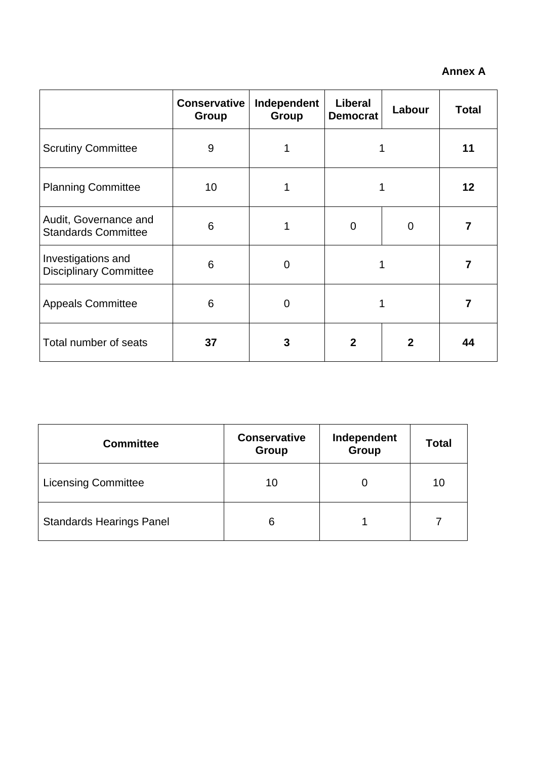### **Annex A**

|                                                     | <b>Conservative</b><br>Group | Independent<br><b>Group</b> | Liberal<br><b>Democrat</b> | Labour         | <b>Total</b> |
|-----------------------------------------------------|------------------------------|-----------------------------|----------------------------|----------------|--------------|
| <b>Scrutiny Committee</b>                           | 9                            | 1                           |                            |                | 11           |
| <b>Planning Committee</b>                           | 10                           |                             |                            |                | 12           |
| Audit, Governance and<br><b>Standards Committee</b> | 6                            | 1                           | 0                          | $\mathbf 0$    |              |
| Investigations and<br><b>Disciplinary Committee</b> | 6                            | $\mathbf 0$                 | 1                          |                |              |
| <b>Appeals Committee</b>                            | 6                            | $\mathbf 0$                 |                            |                |              |
| Total number of seats                               | 37                           | 3                           | $\mathbf{2}$               | $\overline{2}$ | 44           |

| <b>Committee</b>                | <b>Conservative</b><br><b>Group</b> | Independent<br>Group | <b>Total</b> |
|---------------------------------|-------------------------------------|----------------------|--------------|
| <b>Licensing Committee</b>      | 10                                  |                      | 10           |
| <b>Standards Hearings Panel</b> | 6                                   |                      |              |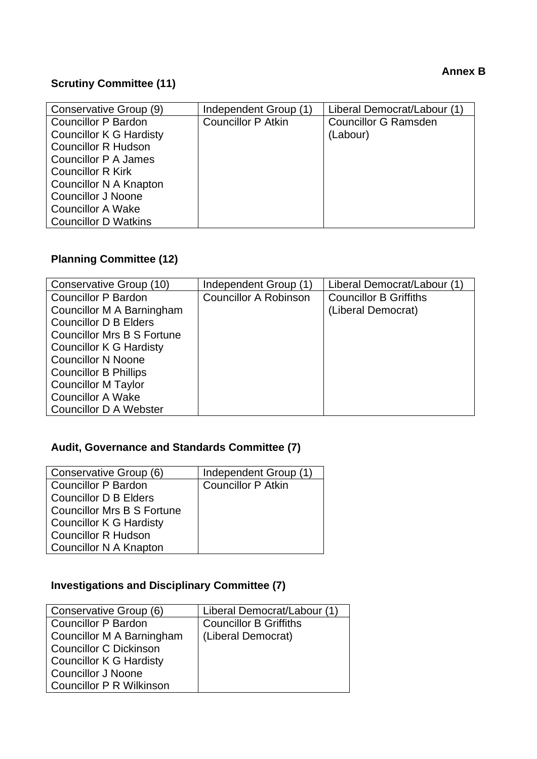#### **Annex B**

### **Scrutiny Committee (11)**

| Conservative Group (9)         | Independent Group (1)     | Liberal Democrat/Labour (1) |
|--------------------------------|---------------------------|-----------------------------|
| <b>Councillor P Bardon</b>     | <b>Councillor P Atkin</b> | <b>Councillor G Ramsden</b> |
| <b>Councillor K G Hardisty</b> |                           | (Labour)                    |
| <b>Councillor R Hudson</b>     |                           |                             |
| Councillor P A James           |                           |                             |
| <b>Councillor R Kirk</b>       |                           |                             |
| Councillor N A Knapton         |                           |                             |
| <b>Councillor J Noone</b>      |                           |                             |
| <b>Councillor A Wake</b>       |                           |                             |
| <b>Councillor D Watkins</b>    |                           |                             |

# **Planning Committee (12)**

| Conservative Group (10)           | Independent Group (1)        | Liberal Democrat/Labour (1)   |
|-----------------------------------|------------------------------|-------------------------------|
| <b>Councillor P Bardon</b>        | <b>Councillor A Robinson</b> | <b>Councillor B Griffiths</b> |
| Councillor M A Barningham         |                              | (Liberal Democrat)            |
| <b>Councillor D B Elders</b>      |                              |                               |
| <b>Councillor Mrs B S Fortune</b> |                              |                               |
| <b>Councillor K G Hardisty</b>    |                              |                               |
| <b>Councillor N Noone</b>         |                              |                               |
| <b>Councillor B Phillips</b>      |                              |                               |
| <b>Councillor M Taylor</b>        |                              |                               |
| <b>Councillor A Wake</b>          |                              |                               |
| <b>Councillor D A Webster</b>     |                              |                               |

## **Audit, Governance and Standards Committee (7)**

| Conservative Group (6)            | Independent Group (1)     |
|-----------------------------------|---------------------------|
| Councillor P Bardon               | <b>Councillor P Atkin</b> |
| <b>Councillor D B Elders</b>      |                           |
| <b>Councillor Mrs B S Fortune</b> |                           |
| <b>Councillor K G Hardisty</b>    |                           |
| <b>Councillor R Hudson</b>        |                           |
| Councillor N A Knapton            |                           |

## **Investigations and Disciplinary Committee (7)**

| Conservative Group (6)          | Liberal Democrat/Labour (1)   |
|---------------------------------|-------------------------------|
| Councillor P Bardon             | <b>Councillor B Griffiths</b> |
| Councillor M A Barningham       | (Liberal Democrat)            |
| <b>Councillor C Dickinson</b>   |                               |
| Councillor K G Hardisty         |                               |
| Councillor J Noone              |                               |
| <b>Councillor P R Wilkinson</b> |                               |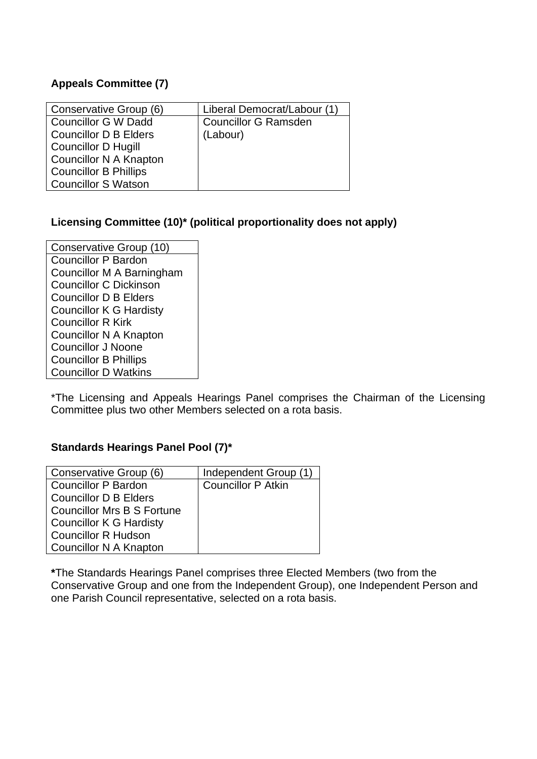#### **Appeals Committee (7)**

| Conservative Group (6)       | Liberal Democrat/Labour (1) |
|------------------------------|-----------------------------|
| Councillor G W Dadd          | <b>Councillor G Ramsden</b> |
| <b>Councillor D B Elders</b> | (Labour)                    |
| Councillor D Hugill          |                             |
| Councillor N A Knapton       |                             |
| <b>Councillor B Phillips</b> |                             |
| <b>Councillor S Watson</b>   |                             |

#### **Licensing Committee (10)\* (political proportionality does not apply)**

Conservative Group (10) Councillor P Bardon Councillor M A Barningham Councillor C Dickinson Councillor D B Elders Councillor K G Hardisty Councillor R Kirk Councillor N A Knapton Councillor J Noone Councillor B Phillips Councillor D Watkins

\*The Licensing and Appeals Hearings Panel comprises the Chairman of the Licensing Committee plus two other Members selected on a rota basis.

#### **Standards Hearings Panel Pool (7)\***

| Conservative Group (6)            | Independent Group (1)     |
|-----------------------------------|---------------------------|
| <b>Councillor P Bardon</b>        | <b>Councillor P Atkin</b> |
| <b>Councillor D B Elders</b>      |                           |
| <b>Councillor Mrs B S Fortune</b> |                           |
| <b>Councillor K G Hardisty</b>    |                           |
| <b>Councillor R Hudson</b>        |                           |
| Councillor N A Knapton            |                           |

**\***The Standards Hearings Panel comprises three Elected Members (two from the Conservative Group and one from the Independent Group), one Independent Person and one Parish Council representative, selected on a rota basis.